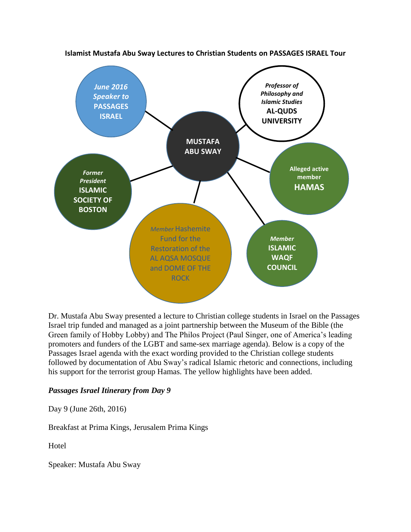

**Islamist Mustafa Abu Sway Lectures to Christian Students on PASSAGES ISRAEL Tour**

Dr. Mustafa Abu Sway presented a lecture to Christian college students in Israel on the Passages Israel trip funded and managed as a joint partnership between the Museum of the Bible (the Green family of Hobby Lobby) and The Philos Project (Paul Singer, one of America's leading promoters and funders of the LGBT and same-sex marriage agenda). Below is a copy of the Passages Israel agenda with the exact wording provided to the Christian college students followed by documentation of Abu Sway's radical Islamic rhetoric and connections, including his support for the terrorist group Hamas. The yellow highlights have been added.

## *Passages Israel Itinerary from Day 9*

Day 9 (June 26th, 2016)

Breakfast at Prima Kings, Jerusalem Prima Kings

**Hotel** 

Speaker: Mustafa Abu Sway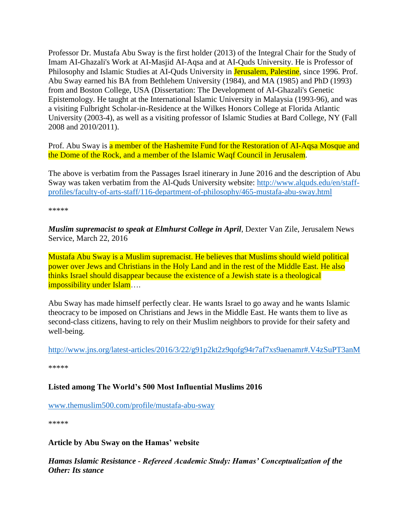Professor Dr. Mustafa Abu Sway is the first holder (2013) of the Integral Chair for the Study of Imam AI-Ghazali's Work at AI-Masjid AI-Aqsa and at AI-Quds University. He is Professor of Philosophy and Islamic Studies at AI-Quds University in Jerusalem, Palestine, since 1996. Prof. Abu Sway earned his BA from Bethlehem University (1984), and MA (1985) and PhD (1993) from and Boston College, USA (Dissertation: The Development of AI-Ghazali's Genetic Epistemology. He taught at the International Islamic University in Malaysia (1993-96), and was a visiting Fulbright Scholar-in-Residence at the Wilkes Honors College at Florida Atlantic University (2003-4), as well as a visiting professor of Islamic Studies at Bard College, NY (Fall 2008 and 2010/2011).

Prof. Abu Sway is a member of the Hashemite Fund for the Restoration of AI-Aqsa Mosque and the Dome of the Rock, and a member of the Islamic Waqf Council in Jerusalem.

The above is verbatim from the Passages Israel itinerary in June 2016 and the description of Abu Sway was taken verbatim from the Al-Quds University website: [http://www.alquds.edu/en/staff](http://www.alquds.edu/en/staff-profiles/faculty-of-arts-staff/116-department-of-philosophy/465-mustafa-abu-sway.html)[profiles/faculty-of-arts-staff/116-department-of-philosophy/465-mustafa-abu-sway.html](http://www.alquds.edu/en/staff-profiles/faculty-of-arts-staff/116-department-of-philosophy/465-mustafa-abu-sway.html)

\*\*\*\*\*

*Muslim supremacist to speak at Elmhurst College in April*, Dexter Van Zile, Jerusalem News Service, March 22, 2016

Mustafa Abu Sway is a Muslim supremacist. He believes that Muslims should wield political power over Jews and Christians in the Holy Land and in the rest of the Middle East. He also thinks Israel should disappear because the existence of a Jewish state is a theological impossibility under Islam….

Abu Sway has made himself perfectly clear. He wants Israel to go away and he wants Islamic theocracy to be imposed on Christians and Jews in the Middle East. He wants them to live as second-class citizens, having to rely on their Muslim neighbors to provide for their safety and well-being.

<http://www.jns.org/latest-articles/2016/3/22/g91p2kt2z9qofg94r7af7xs9aenamr#.V4zSuPT3anM>

\*\*\*\*\*

## **Listed among The World's 500 Most Influential Muslims 2016**

[www.themuslim500.com/profile/mustafa-abu-sway](http://www.themuslim500.com/profile/mustafa-abu-sway)

\*\*\*\*\*

### **Article by Abu Sway on the Hamas' website**

*Hamas Islamic Resistance - Refereed Academic Study: Hamas' Conceptualization of the Other: Its stance*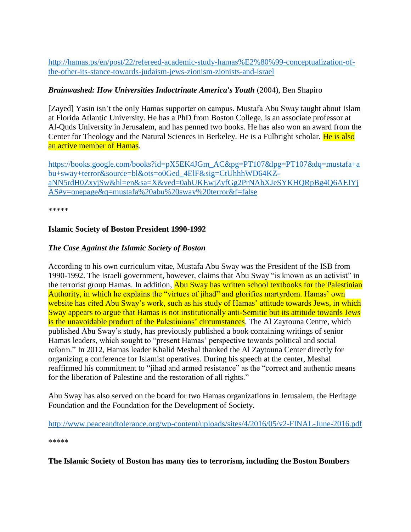[http://hamas.ps/en/post/22/refereed-academic-study-hamas%E2%80%99-conceptualization-of](http://hamas.ps/en/post/22/refereed-academic-study-hamas%E2%80%99-conceptualization-of-the-other-its-stance-towards-judaism-jews-zionism-zionists-and-israel)[the-other-its-stance-towards-judaism-jews-zionism-zionists-and-israel](http://hamas.ps/en/post/22/refereed-academic-study-hamas%E2%80%99-conceptualization-of-the-other-its-stance-towards-judaism-jews-zionism-zionists-and-israel)

# *Brainwashed: How Universities Indoctrinate America's Youth* (2004), Ben Shapiro

[Zayed] Yasin isn't the only Hamas supporter on campus. Mustafa Abu Sway taught about Islam at Florida Atlantic University. He has a PhD from Boston College, is an associate professor at Al-Quds University in Jerusalem, and has penned two books. He has also won an award from the Center for Theology and the Natural Sciences in Berkeley. He is a Fulbright scholar. He is also an active member of Hamas.

[https://books.google.com/books?id=pX5EK4JGm\\_AC&pg=PT107&lpg=PT107&dq=mustafa+a](https://books.google.com/books?id=pX5EK4JGm_AC&pg=PT107&lpg=PT107&dq=mustafa+abu+sway+terror&source=bl&ots=o0Ged_4ElF&sig=CtUhhhWD64KZ-aNN5rdH0ZxyjSw&hl=en&sa=X&ved=0ahUKEwjZyfGg2PrNAhXJeSYKHQRpBg4Q6AEIYjAS#v=onepage&q=mustafa%20abu%20sway%20terror&f=false) [bu+sway+terror&source=bl&ots=o0Ged\\_4ElF&sig=CtUhhhWD64KZ](https://books.google.com/books?id=pX5EK4JGm_AC&pg=PT107&lpg=PT107&dq=mustafa+abu+sway+terror&source=bl&ots=o0Ged_4ElF&sig=CtUhhhWD64KZ-aNN5rdH0ZxyjSw&hl=en&sa=X&ved=0ahUKEwjZyfGg2PrNAhXJeSYKHQRpBg4Q6AEIYjAS#v=onepage&q=mustafa%20abu%20sway%20terror&f=false)[aNN5rdH0ZxyjSw&hl=en&sa=X&ved=0ahUKEwjZyfGg2PrNAhXJeSYKHQRpBg4Q6AEIYj](https://books.google.com/books?id=pX5EK4JGm_AC&pg=PT107&lpg=PT107&dq=mustafa+abu+sway+terror&source=bl&ots=o0Ged_4ElF&sig=CtUhhhWD64KZ-aNN5rdH0ZxyjSw&hl=en&sa=X&ved=0ahUKEwjZyfGg2PrNAhXJeSYKHQRpBg4Q6AEIYjAS#v=onepage&q=mustafa%20abu%20sway%20terror&f=false) [AS#v=onepage&q=mustafa%20abu%20sway%20terror&f=false](https://books.google.com/books?id=pX5EK4JGm_AC&pg=PT107&lpg=PT107&dq=mustafa+abu+sway+terror&source=bl&ots=o0Ged_4ElF&sig=CtUhhhWD64KZ-aNN5rdH0ZxyjSw&hl=en&sa=X&ved=0ahUKEwjZyfGg2PrNAhXJeSYKHQRpBg4Q6AEIYjAS#v=onepage&q=mustafa%20abu%20sway%20terror&f=false)

\*\*\*\*\*

## **Islamic Society of Boston President 1990-1992**

## *The Case Against the Islamic Society of Boston*

According to his own curriculum vitae, Mustafa Abu Sway was the President of the ISB from 1990-1992. The Israeli government, however, claims that Abu Sway "is known as an activist" in the terrorist group Hamas. In addition, Abu Sway has written school textbooks for the Palestinian Authority, in which he explains the "virtues of jihad" and glorifies martyrdom. Hamas' own website has cited Abu Sway's work, such as his study of Hamas' attitude towards Jews, in which Sway appears to argue that Hamas is not institutionally anti-Semitic but its attitude towards Jews is the unavoidable product of the Palestinians' circumstances. The Al Zaytouna Centre, which published Abu Sway's study, has previously published a book containing writings of senior Hamas leaders, which sought to "present Hamas' perspective towards political and social reform." In 2012, Hamas leader Khalid Meshal thanked the Al Zaytouna Center directly for organizing a conference for Islamist operatives. During his speech at the center, Meshal reaffirmed his commitment to "jihad and armed resistance" as the "correct and authentic means for the liberation of Palestine and the restoration of all rights."

Abu Sway has also served on the board for two Hamas organizations in Jerusalem, the Heritage Foundation and the Foundation for the Development of Society.

<http://www.peaceandtolerance.org/wp-content/uploads/sites/4/2016/05/v2-FINAL-June-2016.pdf>

\*\*\*\*\*

**The Islamic Society of Boston has many ties to terrorism, including the Boston Bombers**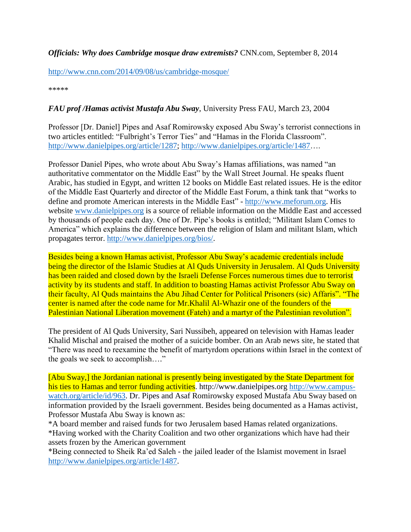*Officials: Why does Cambridge mosque draw extremists?* CNN.com, September 8, 2014

<http://www.cnn.com/2014/09/08/us/cambridge-mosque/>

\*\*\*\*\*

## *FAU prof /Hamas activist Mustafa Abu Sway*, University Press FAU, March 23, 2004

Professor [Dr. Daniel] Pipes and Asaf Romirowsky exposed Abu Sway's terrorist connections in two articles entitled: "Fulbright's Terror Ties" and "Hamas in the Florida Classroom". [http://www.danielpipes.org/article/1287;](http://www.danielpipes.org/article/1287) [http://www.danielpipes.org/article/1487…](http://www.danielpipes.org/article/1487).

Professor Daniel Pipes, who wrote about Abu Sway's Hamas affiliations, was named "an authoritative commentator on the Middle East" by the Wall Street Journal. He speaks fluent Arabic, has studied in Egypt, and written 12 books on Middle East related issues. He is the editor of the Middle East Quarterly and director of the Middle East Forum, a think tank that "works to define and promote American interests in the Middle East" - [http://www.meforum.org.](http://www.meforum.org/) His website [www.danielpipes.org](http://www.danielpipes.org/) is a source of reliable information on the Middle East and accessed by thousands of people each day. One of Dr. Pipe's books is entitled; "Militant Islam Comes to America" which explains the difference between the religion of Islam and militant Islam, which propagates terror. [http://www.danielpipes.org/bios/.](http://www.danielpipes.org/bios/)

Besides being a known Hamas activist, Professor Abu Sway's academic credentials include being the director of the Islamic Studies at Al Quds University in Jerusalem. Al Quds University has been raided and closed down by the Israeli Defense Forces numerous times due to terrorist activity by its students and staff. In addition to boasting Hamas activist Professor Abu Sway on their faculty, Al Quds maintains the Abu Jihad Center for Political Prisoners (sic) Affaris". "The center is named after the code name for Mr.Khalil Al-Whazir one of the founders of the Palestinian National Liberation movement (Fateh) and a martyr of the Palestinian revolution".

The president of Al Quds University, Sari Nussibeh, appeared on television with Hamas leader Khalid Mischal and praised the mother of a suicide bomber. On an Arab news site, he stated that "There was need to reexamine the benefit of martyrdom operations within Israel in the context of the goals we seek to accomplish…."

[Abu Sway,] the Jordanian national is presently being investigated by the State Department for his ties to Hamas and terror funding activities. http://www.danielpipes.org [http://www.campus](http://www.campus-watch.org/article/id/963)[watch.org/article/id/963.](http://www.campus-watch.org/article/id/963) Dr. Pipes and Asaf Romirowsky exposed Mustafa Abu Sway based on information provided by the Israeli government. Besides being documented as a Hamas activist, Professor Mustafa Abu Sway is known as:

\*A board member and raised funds for two Jerusalem based Hamas related organizations. \*Having worked with the Charity Coalition and two other organizations which have had their assets frozen by the American government

\*Being connected to Sheik Ra'ed Saleh - the jailed leader of the Islamist movement in Israel [http://www.danielpipes.org/article/1487.](http://www.danielpipes.org/article/1487)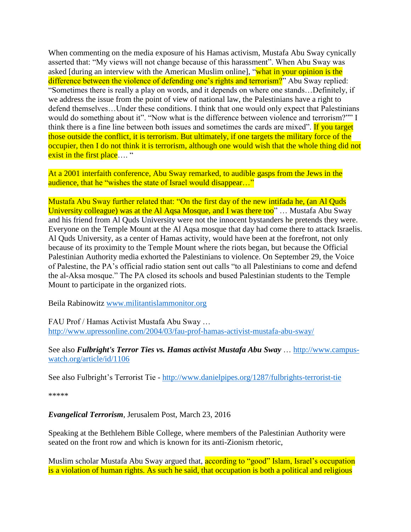When commenting on the media exposure of his Hamas activism, Mustafa Abu Sway cynically asserted that: "My views will not change because of this harassment". When Abu Sway was asked [during an interview with the American Muslim online], "what in your opinion is the difference between the violence of defending one's rights and terrorism?" Abu Sway replied: "Sometimes there is really a play on words, and it depends on where one stands…Definitely, if we address the issue from the point of view of national law, the Palestinians have a right to defend themselves…Under these conditions. I think that one would only expect that Palestinians would do something about it". "Now what is the difference between violence and terrorism?"" I think there is a fine line between both issues and sometimes the cards are mixed". If you target those outside the conflict, it is terrorism. But ultimately, if one targets the military force of the occupier, then I do not think it is terrorism, although one would wish that the whole thing did not exist in the first place.... "

At a 2001 interfaith conference, Abu Sway remarked, to audible gasps from the Jews in the audience, that he "wishes the state of Israel would disappear..."

Mustafa Abu Sway further related that: "On the first day of the new intifada he, (an Al Quds University colleague) was at the Al Aqsa Mosque, and I was there too" ... Mustafa Abu Sway and his friend from Al Quds University were not the innocent bystanders he pretends they were. Everyone on the Temple Mount at the Al Aqsa mosque that day had come there to attack Israelis. Al Quds University, as a center of Hamas activity, would have been at the forefront, not only because of its proximity to the Temple Mount where the riots began, but because the Official Palestinian Authority media exhorted the Palestinians to violence. On September 29, the Voice of Palestine, the PA's official radio station sent out calls "to all Palestinians to come and defend the al-Aksa mosque." The PA closed its schools and bused Palestinian students to the Temple Mount to participate in the organized riots.

Beila Rabinowitz [www.militantislammonitor.org](http://www.militantislammonitor.org/)

FAU Prof / Hamas Activist Mustafa Abu Sway … <http://www.upressonline.com/2004/03/fau-prof-hamas-activist-mustafa-abu-sway/>

See also *Fulbright's Terror Ties vs. Hamas activist Mustafa Abu Sway* … [http://www.campus](http://www.campus-watch.org/article/id/1106)[watch.org/article/id/1106](http://www.campus-watch.org/article/id/1106)

See also Fulbright's Terrorist Tie - <http://www.danielpipes.org/1287/fulbrights-terrorist-tie>

\*\*\*\*\*

### *Evangelical Terrorism*, Jerusalem Post, March 23, 2016

Speaking at the Bethlehem Bible College, where members of the Palestinian Authority were seated on the front row and which is known for its anti-Zionism rhetoric,

Muslim scholar Mustafa Abu Sway argued that, **according to "good" Islam, Israel's occupation** is a violation of human rights. As such he said, that occupation is both a political and religious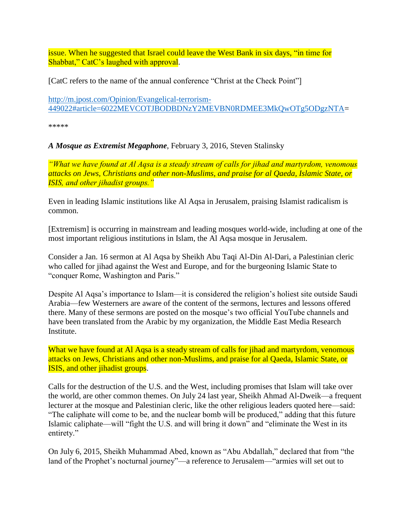issue. When he suggested that Israel could leave the West Bank in six days, "in time for Shabbat," CatC's laughed with approval.

[CatC refers to the name of the annual conference "Christ at the Check Point"]

[http://m.jpost.com/Opinion/Evangelical-terrorism-](http://m.jpost.com/Opinion/Evangelical-terrorism-449022#article=6022MEVCOTJBODBDNzY2MEVBN0RDMEE3MkQwOTg5ODgzNTA)[449022#article=6022MEVCOTJBODBDNzY2MEVBN0RDMEE3MkQwOTg5ODgzNTA=](http://m.jpost.com/Opinion/Evangelical-terrorism-449022#article=6022MEVCOTJBODBDNzY2MEVBN0RDMEE3MkQwOTg5ODgzNTA)

\*\*\*\*\*

*A Mosque as Extremist Megaphone*, February 3, 2016, Steven Stalinsky

*"What we have found at Al Aqsa is a steady stream of calls for jihad and martyrdom, venomous attacks on Jews, Christians and other non-Muslims, and praise for al Qaeda, Islamic State, or ISIS, and other jihadist groups."*

Even in leading Islamic institutions like Al Aqsa in Jerusalem, praising Islamist radicalism is common.

[Extremism] is occurring in mainstream and leading mosques world-wide, including at one of the most important religious institutions in Islam, the Al Aqsa mosque in Jerusalem.

Consider a Jan. 16 sermon at Al Aqsa by Sheikh Abu Taqi Al-Din Al-Dari, a Palestinian cleric who called for jihad against the West and Europe, and for the burgeoning Islamic State to "conquer Rome, Washington and Paris."

Despite Al Aqsa's importance to Islam—it is considered the religion's holiest site outside Saudi Arabia—few Westerners are aware of the content of the sermons, lectures and lessons offered there. Many of these sermons are posted on the mosque's two official YouTube channels and have been translated from the Arabic by my organization, the Middle East Media Research **Institute** 

What we have found at Al Aqsa is a steady stream of calls for jihad and martyrdom, venomous attacks on Jews, Christians and other non-Muslims, and praise for al Qaeda, Islamic State, or ISIS, and other jihadist groups.

Calls for the destruction of the U.S. and the West, including promises that Islam will take over the world, are other common themes. On July 24 last year, Sheikh Ahmad Al-Dweik—a frequent lecturer at the mosque and Palestinian cleric, like the other religious leaders quoted here—said: "The caliphate will come to be, and the nuclear bomb will be produced," adding that this future Islamic caliphate—will "fight the U.S. and will bring it down" and "eliminate the West in its entirety."

On July 6, 2015, Sheikh Muhammad Abed, known as "Abu Abdallah," declared that from "the land of the Prophet's nocturnal journey"—a reference to Jerusalem—"armies will set out to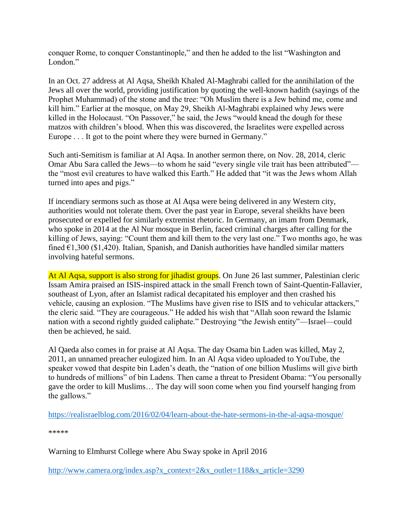conquer Rome, to conquer Constantinople," and then he added to the list "Washington and London."

In an Oct. 27 address at Al Aqsa, Sheikh Khaled Al-Maghrabi called for the annihilation of the Jews all over the world, providing justification by quoting the well-known hadith (sayings of the Prophet Muhammad) of the stone and the tree: "Oh Muslim there is a Jew behind me, come and kill him." Earlier at the mosque, on May 29, Sheikh Al-Maghrabi explained why Jews were killed in the Holocaust. "On Passover," he said, the Jews "would knead the dough for these matzos with children's blood. When this was discovered, the Israelites were expelled across Europe . . . It got to the point where they were burned in Germany."

Such anti-Semitism is familiar at Al Aqsa. In another sermon there, on Nov. 28, 2014, cleric Omar Abu Sara called the Jews—to whom he said "every single vile trait has been attributed" the "most evil creatures to have walked this Earth." He added that "it was the Jews whom Allah turned into apes and pigs."

If incendiary sermons such as those at Al Aqsa were being delivered in any Western city, authorities would not tolerate them. Over the past year in Europe, several sheikhs have been prosecuted or expelled for similarly extremist rhetoric. In Germany, an imam from Denmark, who spoke in 2014 at the Al Nur mosque in Berlin, faced criminal charges after calling for the killing of Jews, saying: "Count them and kill them to the very last one." Two months ago, he was fined  $\epsilon$ 1,300 (\$1,420). Italian, Spanish, and Danish authorities have handled similar matters involving hateful sermons.

At Al Aqsa, support is also strong for jihadist groups. On June 26 last summer, Palestinian cleric Issam Amira praised an ISIS-inspired attack in the small French town of Saint-Quentin-Fallavier, southeast of Lyon, after an Islamist radical decapitated his employer and then crashed his vehicle, causing an explosion. "The Muslims have given rise to ISIS and to vehicular attackers," the cleric said. "They are courageous." He added his wish that "Allah soon reward the Islamic nation with a second rightly guided caliphate." Destroying "the Jewish entity"—Israel—could then be achieved, he said.

Al Qaeda also comes in for praise at Al Aqsa. The day Osama bin Laden was killed, May 2, 2011, an unnamed preacher eulogized him. In an Al Aqsa video uploaded to YouTube, the speaker vowed that despite bin Laden's death, the "nation of one billion Muslims will give birth to hundreds of millions" of bin Ladens. Then came a threat to President Obama: "You personally gave the order to kill Muslims… The day will soon come when you find yourself hanging from the gallows."

<https://realisraelblog.com/2016/02/04/learn-about-the-hate-sermons-in-the-al-aqsa-mosque/>

\*\*\*\*\*

Warning to Elmhurst College where Abu Sway spoke in April 2016

[http://www.camera.org/index.asp?x\\_context=2&x\\_outlet=118&x\\_article=3290](http://www.camera.org/index.asp?x_context=2&x_outlet=118&x_article=3290)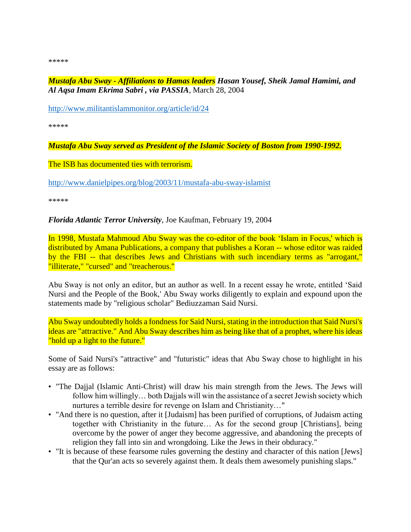\*\*\*\*\*

*Mustafa Abu Sway - Affiliations to Hamas leaders Hasan Yousef, Sheik Jamal Hamimi, and Al Aqsa Imam Ekrima Sabri , via PASSIA*, March 28, 2004

<http://www.militantislammonitor.org/article/id/24>

\*\*\*\*\*

*Mustafa Abu Sway served as President of the Islamic Society of Boston from 1990-1992.*

The ISB has documented ties with terrorism.

<http://www.danielpipes.org/blog/2003/11/mustafa-abu-sway-islamist>

\*\*\*\*\*

*Florida Atlantic Terror University*, Joe Kaufman, February 19, 2004

In 1998, Mustafa Mahmoud Abu Sway was the co-editor of the book 'Islam in Focus,' which is distributed by Amana Publications, a company that publishes a Koran -- whose editor was raided [by the FBI](http://www.worldnetdaily.com/news/article.asp?ARTICLE_ID=27199) -- that describes Jews and Christians with such incendiary terms as "arrogant," "illiterate," "cursed" and "treacherous."

Abu Sway is not only an editor, but an author as well. In a recent essay he wrote, entitled 'Said Nursi and the People of the Book,' Abu Sway works diligently to explain and expound upon the statements made by "religious scholar" Bediuzzaman Said Nursi.

Abu Sway undoubtedly holds a fondness for Said Nursi, stating in the introduction that Said Nursi's ideas are "attractive." And Abu Sway describes him as being like that of a prophet, where his ideas "hold up a light to the future."

Some of Said Nursi's "attractive" and "futuristic" ideas that Abu Sway chose to highlight in his essay are as follows:

- "The Dajjal (Islamic Anti-Christ) will draw his main strength from the Jews. The Jews will follow him willingly… both Dajjals will win the assistance of a secret Jewish society which nurtures a terrible desire for revenge on Islam and Christianity…"
- "And there is no question, after it [Judaism] has been purified of corruptions, of Judaism acting together with Christianity in the future… As for the second group [Christians], being overcome by the power of anger they become aggressive, and abandoning the precepts of religion they fall into sin and wrongdoing. Like the Jews in their obduracy."
- "It is because of these fearsome rules governing the destiny and character of this nation [Jews] that the Qur'an acts so severely against them. It deals them awesomely punishing slaps."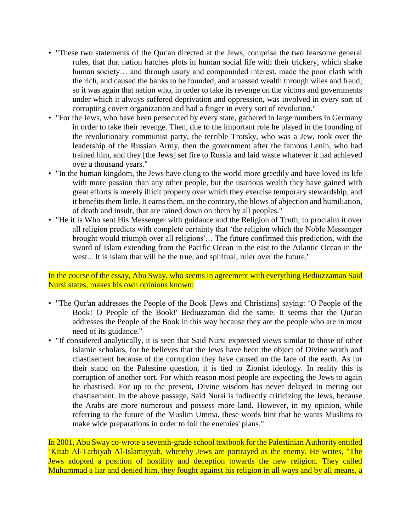- "These two statements of the Qur'an directed at the Jews, comprise the two fearsome general rules, that that nation hatches plots in human social life with their trickery, which shake human society... and through usury and compounded interest, made the poor clash with the rich, and caused the banks to be founded, and amassed wealth through wiles and fraud; so it was again that nation who, in order to take its revenge on the victors and governments under which it always suffered deprivation and oppression, was involved in every sort of corrupting covert organization and had a finger in every sort of revolution."
- "For the Jews, who have been persecuted by every state, gathered in large numbers in Germany in order to take their revenge. Then, due to the important role he played in the founding of the revolutionary communist party, the terrible Trotsky, who was a Jew, took over the leadership of the Russian Army, then the government after the famous Lenin, who had trained him, and they [the Jews] set fire to Russia and laid waste whatever it had achieved over a thousand years."
- "In the human kingdom, the Jews have clung to the world more greedily and have loved its life with more passion than any other people, but the usurious wealth they have gained with great efforts is merely illicit property over which they exercise temporary stewardship, and it benefits them little. It earns them, on the contrary, the blows of abjection and humiliation, of death and insult, that are rained down on them by all peoples."
- "He it is Who sent His Messenger with guidance and the Religion of Truth, to proclaim it over all religion predicts with complete certainty that 'the religion which the Noble Messenger brought would triumph over all religions'… The future confirmed this prediction, with the sword of Islam extending from the Pacific Ocean in the east to the Atlantic Ocean in the west... It is Islam that will be the true, and spiritual, ruler over the future."

In the course of the essay, Abu Sway, who seems in agreement with everything Bediuzzaman Said Nursi states, makes his own opinions known:

- "The Qur'an addresses the People of the Book [Jews and Christians] saying: 'O People of the Book! O People of the Book!' Bediuzzaman did the same. It seems that the Qur'an addresses the People of the Book in this way because they are the people who are in most need of its guidance."
- "If considered analytically, it is seen that Said Nursi expressed views similar to those of other Islamic scholars, for he believes that the Jews have been the object of Divine wrath and chastisement because of the corruption they have caused on the face of the earth. As for their stand on the Palestine question, it is tied to Zionist ideology. In reality this is corruption of another sort. For which reason most people are expecting the Jews to again be chastised. For up to the present, Divine wisdom has never delayed in meting out chastisement. In the above passage, Said Nursi is indirectly criticizing the Jews, because the Arabs are more numerous and possess more land. However, in my opinion, while referring to the future of the Muslim Umma, these words hint that he wants Muslims to make wide preparations in order to foil the enemies' plans."

In 2001, Abu Sway co-wrote a seventh-grade school textbook for the Palestinian Authority entitled 'Kitab Al-Tarbiyah Al-Islamiyyah, whereby Jews are portrayed as the enemy. He writes, "The Jews adopted a position of hostility and deception towards the new religion. They called Muhammad a liar and denied him, they fought against his religion in all ways and by all means, a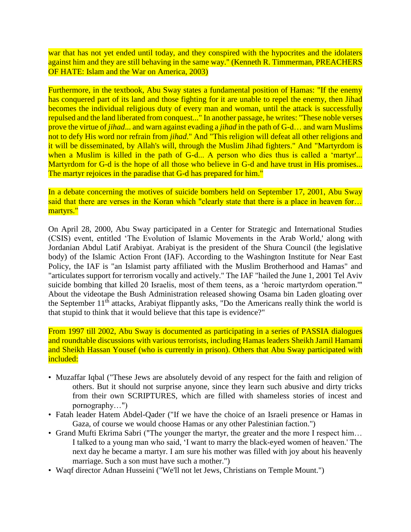war that has not yet ended until today, and they conspired with the hypocrites and the idolaters against him and they are still behaving in the same way." (Kenneth R. Timmerman, PREACHERS OF HATE: Islam and the War on America, 2003)

Furthermore, in the textbook, Abu Sway states a fundamental position of Hamas: "If the enemy has conquered part of its land and those fighting for it are unable to repel the enemy, then Jihad becomes the individual religious duty of every man and woman, until the attack is successfully repulsed and the land liberated from conquest..." I[n another passage,](http://www.danielpipes.org/blog/116) he writes: "These noble verses prove the virtue of *jihad*... and warn against evading a *jihad* in the path of G-d… and warn Muslims not to defy His word nor refrain from *jihad*." And "This religion will defeat all other religions and it will be disseminated, by Allah's will, through the Muslim Jihad fighters." And "Martyrdom is when a Muslim is killed in the path of G-d... A person who dies thus is called a 'martyr'... Martyrdom for G-d is the hope of all those who believe in G-d and have trust in His promises... The martyr rejoices in the paradise that G-d has prepared for him."

In a debate concerning the motives of suicide bombers held on September 17, 2001, Abu Sway said that there are verses in the Koran which "clearly state that there is a place in heaven for... martyrs."

On April 28, 2000, Abu Sway participated in a Center for Strategic and International Studies (CSIS) event, entitled 'The Evolution of Islamic Movements in the Arab World,' [along with](http://216.239.41.104/search?q=cache:7JzHO-tkJ-sJ:www.csis.org/islam/bandc.htm+%22abdul+latif+arabiyat%22+%22mustafa+abu+sway%22&hl=en&ie=UTF-8)  [Jordanian Abdul Latif Arabiyat.](http://216.239.41.104/search?q=cache:7JzHO-tkJ-sJ:www.csis.org/islam/bandc.htm+%22abdul+latif+arabiyat%22+%22mustafa+abu+sway%22&hl=en&ie=UTF-8) Arabiyat is the president of the Shura Council (the legislative body) of the Islamic Action Front (IAF). [According to the Washington Institute for Near East](http://216.239.39.104/search?q=cache:qSsWK-tp4FIJ:www.washingtoninstitute.org/pubs/intro/targeting.htm+united+states+terrorism+list+%22islamic+action+front%22&hl=en&ie=UTF-8)  [Policy,](http://216.239.39.104/search?q=cache:qSsWK-tp4FIJ:www.washingtoninstitute.org/pubs/intro/targeting.htm+united+states+terrorism+list+%22islamic+action+front%22&hl=en&ie=UTF-8) the IAF is "an Islamist party affiliated with the Muslim Brotherhood and Hamas" and "articulates support for terrorism vocally and actively." The IAF ["hailed the June 1, 2001 Tel Aviv](http://216.239.41.104/search?q=cache:TW8tu2xlEg0J:www.charitywire.com/charity11/00712.html+%22islamic+action+front%22+%22tel+aviv+suicide+bombing%22&hl=en&ie=UTF-8)  [suicide bombing](http://216.239.41.104/search?q=cache:TW8tu2xlEg0J:www.charitywire.com/charity11/00712.html+%22islamic+action+front%22+%22tel+aviv+suicide+bombing%22&hl=en&ie=UTF-8) that killed 20 Israelis, most of them teens, as a 'heroic martyrdom operation.'" About the videotape the Bush Administration released showing Osama bin Laden gloating over the September  $11<sup>th</sup>$  attacks, [Arabiyat flippantly asks,](http://www.danielpipes.org/article/112) "Do the Americans really think the world is that stupid to think that it would believe that this tape is evidence?"

From 1997 till 2002, Abu Sway is documented as participating in a series of PASSIA dialogues and roundtable discussions with various terrorists, [including Hamas leaders Sheikh Jamil Hamami](http://www.passia.org/meetings/rsunit/activites99.html)  [and Sheikh Hassan Yousef](http://www.passia.org/meetings/rsunit/activites99.html) (who is currently in prison). Others that Abu Sway participated with included:

- [Muzaffar Iqbal](http://www.danielpipes.org/blog/2003/11/the-washington-post-whitewashes-muzaffar) ("These Jews are absolutely devoid of any respect for the faith and religion of others. But it should not surprise anyone, since they learn such abusive and dirty tricks from their own SCRIPTURES, which are filled with shameless stories of incest and pornography…")
- Fatah leader [Hatem Abdel-Qader](http://216.239.41.104/search?q=cache:KrZ1R8UlHZsJ:www.bitterlemons.org/issue/pal2.php+%22Abdel-Qader%22+%22we+would+choose+hamas%22&hl=en&ie=UTF-8) ("If we have the choice of an Israeli presence or Hamas in Gaza, of course we would choose Hamas or any other Palestinian faction.")
- Grand Mufti [Ekrima Sabri](http://216.239.51.104/search?q=cache:MDLKWvd7uwIJ:www.acj.org/Nov_20.htm+%22ekrima+sabri%22+%22the+martyr+is+lucky%22&hl=en&ie=UTF-8) ("The younger the martyr, the greater and the more I respect him... I talked to a young man who said, 'I want to marry the black-eyed women of heaven.' The next day he became a martyr. I am sure his mother was filled with joy about his heavenly marriage. Such a son must have such a mother.")
- Waqf director [Adnan Husseini](http://www.jnewswire.com/news_archive/03/05/030515_waqf_intolerance.asp) ("We'll not let Jews, Christians on Temple Mount.")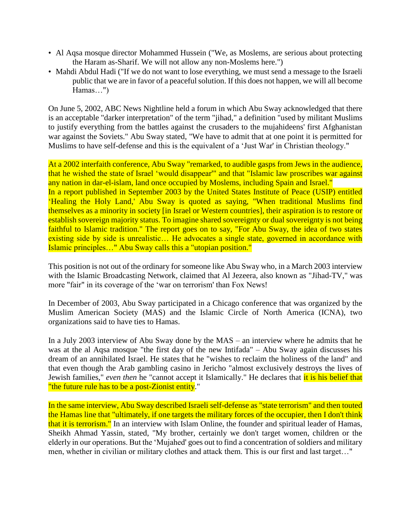- Al Aqsa mosque director [Mohammed Hussein](http://216.239.41.104/search?q=cache:H3eSmPLSQYgJ:www.cwnews.com/news/viewstory.cfm?recnum=1413+%22mohammed+hussein%22+%22we+will+not+allow+any+non-moslems+here%22&hl=en&ie=UTF-8) ("We, as Moslems, are serious about protecting the Haram as-Sharif. We will not allow any non-Moslems here.")
- [Mahdi Abdul Hadi](http://216.239.51.104/search?q=cache:-WfKZS9cXnoJ:www.passia.org/meetings/97/meet01.htm+%22Mahdi+Abdul+Hadi%22+%22we+will+all+become+hamas%22&hl=en&ie=UTF-8) ("If we do not want to lose everything, we must send a message to the Israeli public that we are in favor of a peaceful solution. If this does not happen, we will all become Hamas…")

On June 5, 2002, ABC News Nightline held a forum in which Abu Sway acknowledged that there is an acceptable ["darker interpretation" of the term "jihad,"](http://216.239.37.104/search?q=cache:XCmdxsAKEZMJ:abcnews.go.com/sections/nightline/DailyNews/jihad_students020605.html+%22mustafa+abu+sway%22+%22darker+interpretation%22&hl=en&ie=UTF-8) a definition "used by militant Muslims to justify everything from the battles against the crusaders to the mujahideens' first Afghanistan war against the Soviets." Abu Sway stated, "We have to admit that at one point it is permitted for Muslims to have self-defense and this is the equivalent of a 'Just War' in Christian theology."

At a 2002 interfaith conference, Abu Sway "remarked, to audible gasps from Jews in the audience, that he [wished the state of Israel 'would disappear'"](http://216.239.37.104/search?q=cache:hcygv7tlC6AJ:www.christianitytoday.com/bc/2003/002/6.8.html+%22abu+sway%22+%22wished+the+state+of+Israel+would+disappear.%22&hl=en&ie=UTF-8) and that ["Islamic law proscribes war against](http://216.239.41.104/search?q=cache:kH6xcHycCXoJ:shamash3.shamash.org/tanach/tanach/commentary/top-short/top-short.reeh-shortstudy.2003+%22abu++sway%22+%22islamic+law+proscribes+war%22&hl=en&ie=UTF-8)  [any nation in dar-el-islam,](http://216.239.41.104/search?q=cache:kH6xcHycCXoJ:shamash3.shamash.org/tanach/tanach/commentary/top-short/top-short.reeh-shortstudy.2003+%22abu++sway%22+%22islamic+law+proscribes+war%22&hl=en&ie=UTF-8) land once occupied by Moslems, including Spain and Israel." In a report published in September 2003 by the United States Institute of Peace (USIP) entitled ['Healing the Holy Land,](http://216.239.41.104/search?q=cache:sW0w8Zx_yxUJ:www.usip.org/pubs/peaceworks/pwks51.pdf+%22abu+sway%22+%22advocates+a+single+state%22&hl=en&ie=UTF-8)' Abu Sway is quoted as saying, "When traditional Muslims find themselves as a minority in society [in Israel or Western countries], their aspiration is to restore or establish sovereign majority status. To imagine shared sovereignty or dual sovereignty is not being faithful to Islamic tradition." The report goes on to say, "For Abu Sway, the idea of two states existing side by side is unrealistic... He advocates a single state, governed in accordance with Islamic principles…" Abu Sway calls this a "utopian position."

This position is not out of the ordinary for someone like Abu Sway who, in a March 200[3 interview](http://216.239.39.104/search?q=cache:tfqJJVNVvXcJ:www.ibn.net/page.asp?pg=crisis+%22mustafa+abu+sway%22&hl=en&ie=UTF-8)  [with the Islamic Broadcasting Network,](http://216.239.39.104/search?q=cache:tfqJJVNVvXcJ:www.ibn.net/page.asp?pg=crisis+%22mustafa+abu+sway%22&hl=en&ie=UTF-8) claimed that Al Jezeera, also known as ["Jihad-TV,](http://www.insightmag.com/main.cfm/include/detail/storyid/179940.html)" was more "fair" in its coverage of the 'war on terrorism' than Fox News!

In December of 2003, Abu Sway [participated in a Chicago conference](http://216.239.39.104/search?q=cache:7Mc3Hkl_crwJ:24.123.111.217/MAS-Conv03/guests.htm+%22mustafa+abu+sway%22&hl=en&ie=UTF-8) that was organized by the Muslim American Society (MAS) and the Islamic Circle of North America (ICNA), [two](http://216.239.37.104/search?q=cache:3fuIrbU15nkJ:www.newsmax.com/showinside.shtml?a=2001/9/23/201354+hamas+%22muslim+american+society%22+%22islamic+circle+of+north+america%22&hl=en&ie=UTF-8)  [organizations said to have ties to Hamas.](http://216.239.37.104/search?q=cache:3fuIrbU15nkJ:www.newsmax.com/showinside.shtml?a=2001/9/23/201354+hamas+%22muslim+american+society%22+%22islamic+circle+of+north+america%22&hl=en&ie=UTF-8)

In a [July 2003 interview of Abu Sway](http://www.americanmuslim.org/17palestine17a.html) done by the MAS – an interview where he admits that he was at the al Aqsa mosque "the first day of the new Intifada" – Abu Sway again discusses his dream of an annihilated Israel. He states that he "wishes to reclaim the holiness of the land" and that even though the Arab gambling casino in Jericho "almost exclusively destroys the lives of Jewish families," *even then* he "cannot accept it Islamically." He declares that it is his belief that "the future rule has to be a post-Zionist entity."

In the same interview, Abu Sway described Israeli self-defense as "state terrorism" and then touted the Hamas line that "ultimately, if one targets the military forces of the occupier, then I don't think that it is terrorism." In an interview with Islam Online, the founder and spiritual leader of Hamas, [Sheikh Ahmad Yassin, stated,](http://216.239.41.104/search?q=cache:V2Q5UfyJGnQJ:www.islamonline.net/livedialogue/english/Browse.asp?hGuestID=XbQ5ap+hamas+%22target+the+military%22&hl=en&ie=UTF-8) "My brother, certainly we don't target women, children or the elderly in our operations. But the 'Mujahed' goes out to find a concentration of soldiers and military men, whether in civilian or military clothes and attack them. This is our first and last target…"